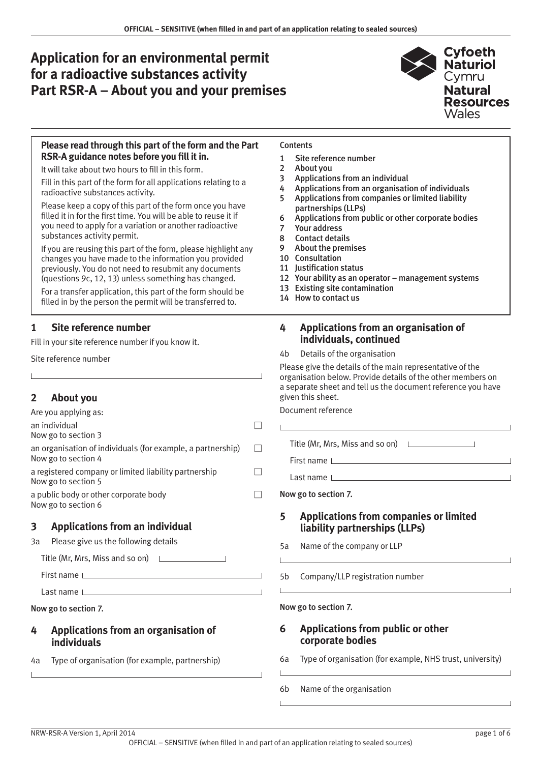# **Application for an environmental permit for a radioactive substances activity Part RSR-A – About you and your premises**



#### **Please read through this part of the form and the Part RSR-A guidance notes before you fill it in.**

It will take about two hours to fill in this form.

Fill in this part of the form for all applications relating to a radioactive substances activity.

Please keep a copy of this part of the form once you have filled it in for the first time. You will be able to reuse it if you need to apply for a variation or another radioactive substances activity permit.

If you are reusing this part of the form, please highlight any changes you have made to the information you provided previously. You do not need to resubmit any documents (questions 9c, 12, 13) unless something has changed.

For a transfer application, this part of the form should be filled in by the person the permit will be transferred to.

# **1 Site reference number**

Fill in your site reference number if you know it.

Site reference number

# **2 About you**

| Are you applying as:                                                               |  |
|------------------------------------------------------------------------------------|--|
| an individual<br>Now go to section 3                                               |  |
| an organisation of individuals (for example, a partnership)<br>Now go to section 4 |  |
| a registered company or limited liability partnership<br>Now go to section 5       |  |
| a public body or other corporate body<br>Now go to section 6                       |  |
|                                                                                    |  |

# **3 Applications from an individual**

3a Please give us the following details

Title (Mr, Mrs, Miss and so on)

First name

Last name

Now go to section 7.

#### **4 Applications from an organisation of individuals**

4a Type of organisation (for example, partnership)

#### **Contents**

- 1 Site reference number
- 2 About you
- 3 Applications from an individual
- 4 Applications from an organisation of individuals
- 5 Applications from companies or limited liability partnerships (LLPs)
- 6 Applications from public or other corporate bodies
- 7 [Your address](#page-1-0)
- 8 [Contact details](#page-1-0)
- 9 [About the premises](#page-2-0)
- 10 [Consultation](#page-2-0)
- 11 [Justification status](#page-2-0)
- 12 [Your ability as an operator management systems](#page-4-0)
- 13 [Existing site contamination](#page-4-0)
- 14 [How to contact us](#page-5-0)

# **4 Applications from an organisation of individuals, continued**

4b Details of the organisation

Please give the details of the main representative of the organisation below. Provide details of the other members on a separate sheet and tell us the document reference you have given this sheet.

| Document reference |  |
|--------------------|--|
|--------------------|--|

Title (Mr, Mrs, Miss and so on)

First name

Last name

Now go to section 7.

# **5 Applications from companies or limited liability partnerships (LLPs)**

- 5a Name of the company or LLP
- 5b Company/LLP registration number

#### Now go to section 7.

#### **6 Applications from public or other corporate bodies**

- 6a Type of organisation (for example, NHS trust, university)
- 6b Name of the organisation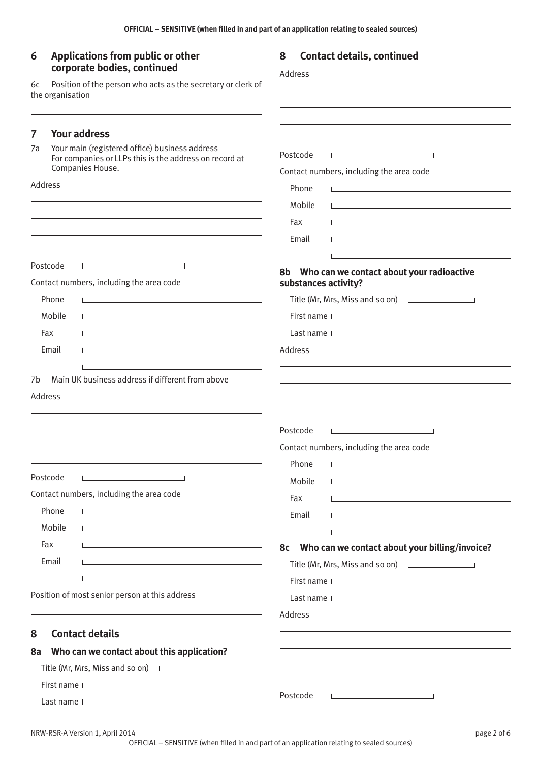Address

 $\mathbf{L}$ 

 $\mathbf{I}$ 

 $\mathbf{L}$ 

 $\overline{\phantom{0}}$ 

Postcode

#### <span id="page-1-0"></span>**6 Applications from public or other corporate bodies, continued**

6c Position of the person who acts as the secretary or clerk of the organisation

# **7 Your address**

7a Your main (registered office) business address For companies or LLPs this is the address on record at Companies House.

 $\overline{1}$ 

| Companies House.                               |                                                                                                                        | Contact numbers, including the area code                                                                                                                                                                                       |
|------------------------------------------------|------------------------------------------------------------------------------------------------------------------------|--------------------------------------------------------------------------------------------------------------------------------------------------------------------------------------------------------------------------------|
| Address                                        |                                                                                                                        | Phone<br><u> 1989 - Johann Stein, mars an de Frankryk († 1908)</u>                                                                                                                                                             |
|                                                | the control of the control of the control of the control of the control of the control of                              | Mobile<br><u> 1980 - John Stein, markin film ar yn y brenin y brenin y brenin y brenin y brenin y brenin y brenin y brenin</u>                                                                                                 |
|                                                |                                                                                                                        | Fax                                                                                                                                                                                                                            |
|                                                | <u> 1980 - Johann Barbara, martxa alemaniar argumento este alemaniar alemaniar alemaniar alemaniar alemaniar al</u>    | Email<br>the control of the control of the control of the control of the control of the control of                                                                                                                             |
|                                                |                                                                                                                        |                                                                                                                                                                                                                                |
| Postcode                                       |                                                                                                                        | Who can we contact about your radioactive<br>8b                                                                                                                                                                                |
| Contact numbers, including the area code       |                                                                                                                        | substances activity?                                                                                                                                                                                                           |
| Phone                                          | <u> 1980 - Johann Barbara, martxa alemaniar a</u>                                                                      | Title (Mr, Mrs, Miss and so on) Latter Links                                                                                                                                                                                   |
| Mobile                                         |                                                                                                                        | First name Learner and the state of the state of the state of the state of the state of the state of the state of the state of the state of the state of the state of the state of the state of the state of the state of the  |
| Fax                                            | the control of the control of the control of the control of the control of the control of                              | Last name                                                                                                                                                                                                                      |
| Email                                          | the control of the control of the control of the control of the control of the control of                              | Address                                                                                                                                                                                                                        |
|                                                |                                                                                                                        |                                                                                                                                                                                                                                |
| 7b                                             | Main UK business address if different from above                                                                       |                                                                                                                                                                                                                                |
| Address                                        |                                                                                                                        |                                                                                                                                                                                                                                |
|                                                |                                                                                                                        |                                                                                                                                                                                                                                |
|                                                |                                                                                                                        | Postcode<br>the contract of the contract of the contract of                                                                                                                                                                    |
|                                                | the control of the control of the control of the control of the control of the control of                              | Contact numbers, including the area code                                                                                                                                                                                       |
|                                                |                                                                                                                        | Phone<br><u> 1980 - Andrea Andrew Maria (h. 1980).</u>                                                                                                                                                                         |
| Postcode                                       |                                                                                                                        | Mobile<br><u> 1980 - Johann Barbara, martxa alemaniar arg</u> entina                                                                                                                                                           |
| Contact numbers, including the area code       |                                                                                                                        | Fax                                                                                                                                                                                                                            |
| Phone                                          |                                                                                                                        | Email<br><u> 1980 - Johann Barbara, martxa alemaniar arg</u>                                                                                                                                                                   |
| Mobile                                         |                                                                                                                        |                                                                                                                                                                                                                                |
| Fax                                            | <u> 1989 - Johann Barn, mars ann an t-Amhain ann an t-Amhain an t-Amhain an t-Amhain an t-Amhain an t-Amhain an t-</u> | Who can we contact about your billing/invoice?<br>8c                                                                                                                                                                           |
| Email                                          |                                                                                                                        | Title (Mr, Mrs, Miss and so on) $\Box$                                                                                                                                                                                         |
|                                                |                                                                                                                        | First name Letter and the state of the state of the state of the state of the state of the state of the state of the state of the state of the state of the state of the state of the state of the state of the state of the s |
| Position of most senior person at this address |                                                                                                                        | Last name                                                                                                                                                                                                                      |
|                                                |                                                                                                                        | Address                                                                                                                                                                                                                        |
| <b>Contact details</b><br>8                    |                                                                                                                        |                                                                                                                                                                                                                                |
| 8a                                             | Who can we contact about this application?                                                                             |                                                                                                                                                                                                                                |
|                                                | Title (Mr, Mrs, Miss and so on) <u>[</u> [[11][21] Title (Mr, Mrs, Miss and so on)                                     |                                                                                                                                                                                                                                |
|                                                |                                                                                                                        |                                                                                                                                                                                                                                |
|                                                | First name                                                                                                             | Postcode                                                                                                                                                                                                                       |

# **8 Contact details, continued**

 $\overline{\phantom{a}}$  $\overline{\phantom{a}}$ 

 $\overline{\phantom{0}}$  $\overline{1}$ 

 $\overline{\phantom{0}}$ 

OFFICIAL – SENSITIVE (when filled in and part of an application relating to sealed sources)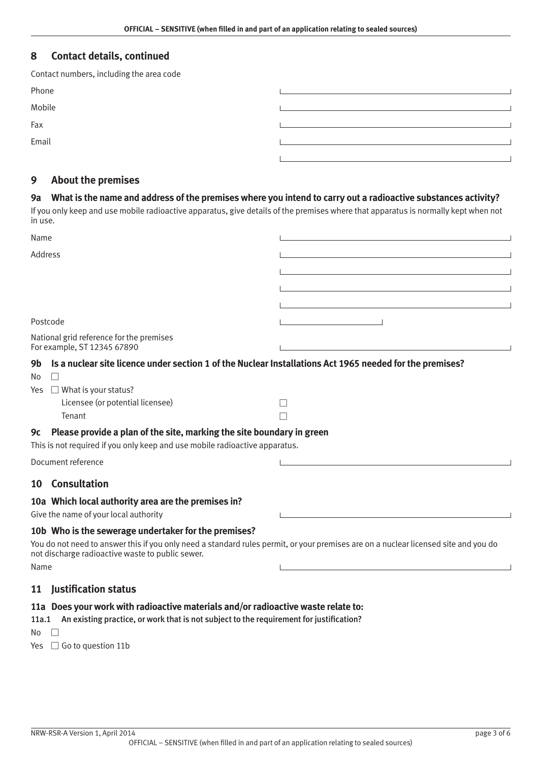# <span id="page-2-0"></span>**8 Contact details, continued**

| Contact numbers, including the area code |  |
|------------------------------------------|--|
| Phone                                    |  |
| Mobile                                   |  |
| Fax                                      |  |
| Email                                    |  |
|                                          |  |

# **9 About the premises**

#### **9a What is the name and address of the premises where you intend to carry out a radioactive substances activity?**

If you only keep and use mobile radioactive apparatus, give details of the premises where that apparatus is normally kept when not in use.

| Name                                                                                                                                                                                                                                                    |  |
|---------------------------------------------------------------------------------------------------------------------------------------------------------------------------------------------------------------------------------------------------------|--|
| <b>Address</b>                                                                                                                                                                                                                                          |  |
|                                                                                                                                                                                                                                                         |  |
|                                                                                                                                                                                                                                                         |  |
|                                                                                                                                                                                                                                                         |  |
| Postcode                                                                                                                                                                                                                                                |  |
| National grid reference for the premises<br>For example, ST 12345 67890                                                                                                                                                                                 |  |
| Is a nuclear site licence under section 1 of the Nuclear Installations Act 1965 needed for the premises?<br>9b                                                                                                                                          |  |
| No                                                                                                                                                                                                                                                      |  |
| $\Box$ What is your status?<br>Yes<br>Licensee (or potential licensee)                                                                                                                                                                                  |  |
| Tenant                                                                                                                                                                                                                                                  |  |
| Please provide a plan of the site, marking the site boundary in green<br>9с<br>This is not required if you only keep and use mobile radioactive apparatus.                                                                                              |  |
| Document reference                                                                                                                                                                                                                                      |  |
| <b>Consultation</b><br>$10-10$                                                                                                                                                                                                                          |  |
| 10a Which local authority area are the premises in?<br>Give the name of your local authority                                                                                                                                                            |  |
| 10b Who is the sewerage undertaker for the premises?<br>You do not need to answer this if you only need a standard rules permit, or your premises are on a nuclear licensed site and you do<br>not discharge radioactive waste to public sewer.<br>Name |  |
| <b>Justification status</b><br>11                                                                                                                                                                                                                       |  |
| 11a Does your work with radioactive materials and/or radioactive waste relate to:                                                                                                                                                                       |  |

11a.1 An existing practice, or work that is not subject to the requirement for justification?

 $No$   $\Box$ 

Yes  $\Box$  Go to question 11b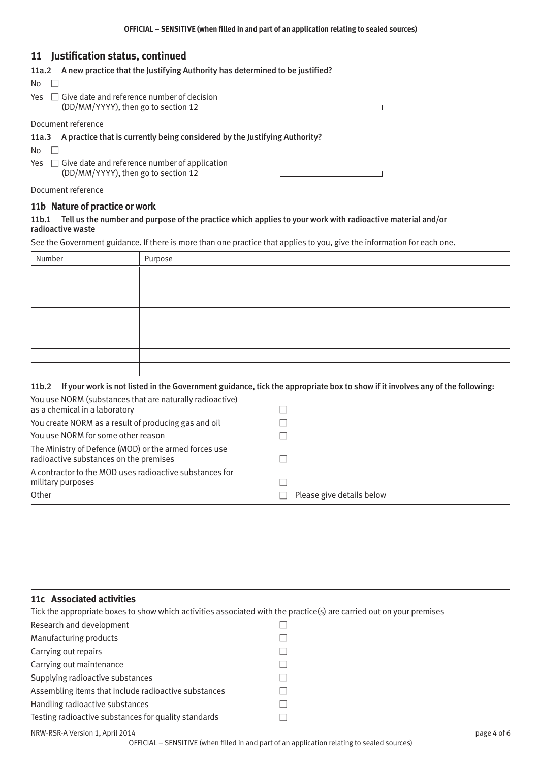# **11 Justification status, continued**

| A new practice that the Justifying Authority has determined to be justified?<br>11a.2           |  |
|-------------------------------------------------------------------------------------------------|--|
| No.                                                                                             |  |
| $Yes \Box$ Give date and reference number of decision<br>(DD/MM/YYYY), then go to section 12    |  |
| Document reference                                                                              |  |
| A practice that is currently being considered by the Justifying Authority?<br>11a.3             |  |
| No.                                                                                             |  |
| $Yes \Box$ Give date and reference number of application<br>(DD/MM/YYYY), then go to section 12 |  |
| Document reference                                                                              |  |
| 11b Nature of practice or work                                                                  |  |

#### 11b.1 Tell us the number and purpose of the practice which applies to your work with radioactive material and/or radioactive waste

See the Government guidance. If there is more than one practice that applies to you, give the information for each one.

| Number | Purpose |
|--------|---------|
|        |         |
|        |         |
|        |         |
|        |         |
|        |         |
|        |         |
|        |         |
|        |         |

#### 11b.2 If your work is not listed in the Government guidance, tick the appropriate box to show if it involves any of the following:

| You use NORM (substances that are naturally radioactive)<br>as a chemical in a laboratory       |                           |
|-------------------------------------------------------------------------------------------------|---------------------------|
| You create NORM as a result of producing gas and oil                                            |                           |
| You use NORM for some other reason                                                              |                           |
| The Ministry of Defence (MOD) or the armed forces use<br>radioactive substances on the premises |                           |
| A contractor to the MOD uses radioactive substances for<br>military purposes<br>Other           | Please give details below |

#### **11c Associated activities**

| Tick the appropriate boxes to show which activities associated with the practice(s) are carried out on your premises |  |  |
|----------------------------------------------------------------------------------------------------------------------|--|--|
| Research and development                                                                                             |  |  |
| Manufacturing products                                                                                               |  |  |
| Carrying out repairs                                                                                                 |  |  |
| Carrying out maintenance                                                                                             |  |  |
| Supplying radioactive substances                                                                                     |  |  |
| Assembling items that include radioactive substances                                                                 |  |  |
| Handling radioactive substances                                                                                      |  |  |
| Testing radioactive substances for quality standards                                                                 |  |  |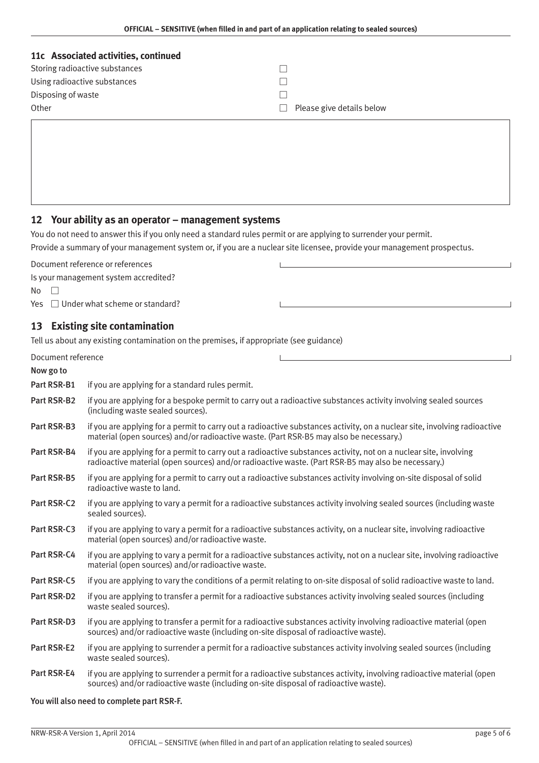<span id="page-4-0"></span>

| 11c Associated activities, continued |                           |
|--------------------------------------|---------------------------|
| Storing radioactive substances       |                           |
| Using radioactive substances         |                           |
| Disposing of waste                   |                           |
| Other                                | Please give details below |

# **12 Your ability as an operator – management systems**

You do not need to answer this if you only need a standard rules permit or are applying to surrender your permit.

Provide a summary of your management system or, if you are a nuclear site licensee, provide your management prospectus.

Document reference or references

Is your management system accredited?

 $No \Box$ 

Yes  $\Box$  Under what scheme or standard?

# **13 Existing site contamination**

Tell us about any existing contamination on the premises, if appropriate (see guidance)

| Document reference |  |
|--------------------|--|
|                    |  |

# Now go to Part RSR-B1 if you are applying for a standard rules permit. Part RSR-B2 if you are applying for a bespoke permit to carry out a radioactive substances activity involving sealed sources (including waste sealed sources). Part RSR-B3 if you are applying for a permit to carry out a radioactive substances activity, on a nuclear site, involving radioactive material (open sources) and/or radioactive waste. (Part RSR-B5 may also be necessary.) Part RSR-B4 if you are applying for a permit to carry out a radioactive substances activity, not on a nuclear site, involving radioactive material (open sources) and/or radioactive waste. (Part RSR-B5 may also be necessary.) Part RSR-B5 if you are applying for a permit to carry out a radioactive substances activity involving on-site disposal of solid radioactive waste to land. Part RSR-C2 if you are applying to vary a permit for a radioactive substances activity involving sealed sources (including waste sealed sources). Part RSR-C3 if you are applying to vary a permit for a radioactive substances activity, on a nuclear site, involving radioactive material (open sources) and/or radioactive waste. Part RSR-C4 if you are applying to vary a permit for a radioactive substances activity, not on a nuclear site, involving radioactive material (open sources) and/or radioactive waste. Part RSR-C5 if you are applying to vary the conditions of a permit relating to on-site disposal of solid radioactive waste to land. Part RSR-D2 if you are applying to transfer a permit for a radioactive substances activity involving sealed sources (including waste sealed sources). Part RSR-D3 if you are applying to transfer a permit for a radioactive substances activity involving radioactive material (open sources) and/or radioactive waste (including on-site disposal of radioactive waste). Part RSR-E2 if you are applying to surrender a permit for a radioactive substances activity involving sealed sources (including waste sealed sources). Part RSR-E4 if you are applying to surrender a permit for a radioactive substances activity, involving radioactive material (open sources) and/or radioactive waste (including on-site disposal of radioactive waste).

#### You will also need to complete part RSR-F.